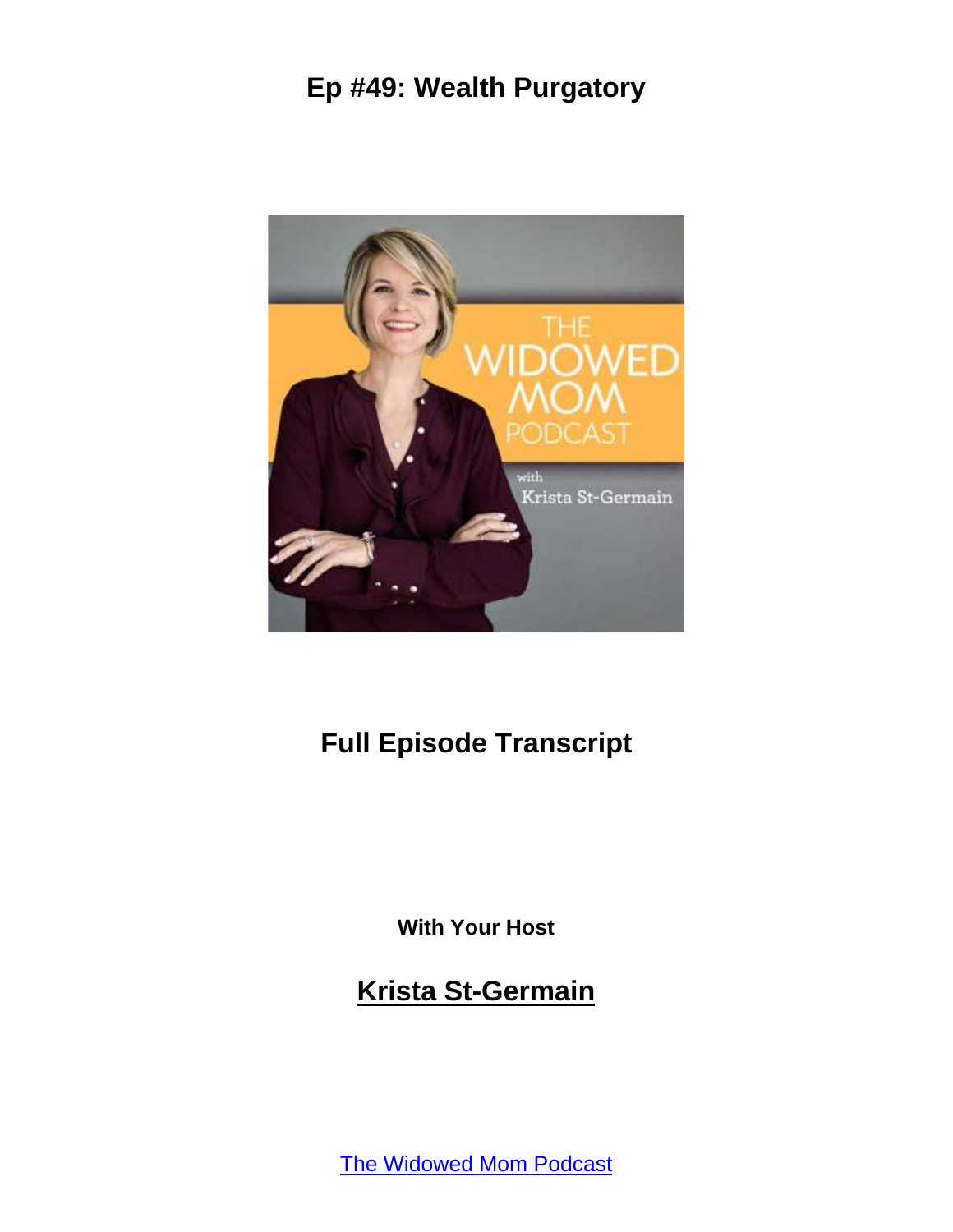

# **Full Episode Transcript**

**With Your Host**

**Krista St-Germain**

[The Widowed Mom Podcast](https://coachingwithkrista.com/podcast)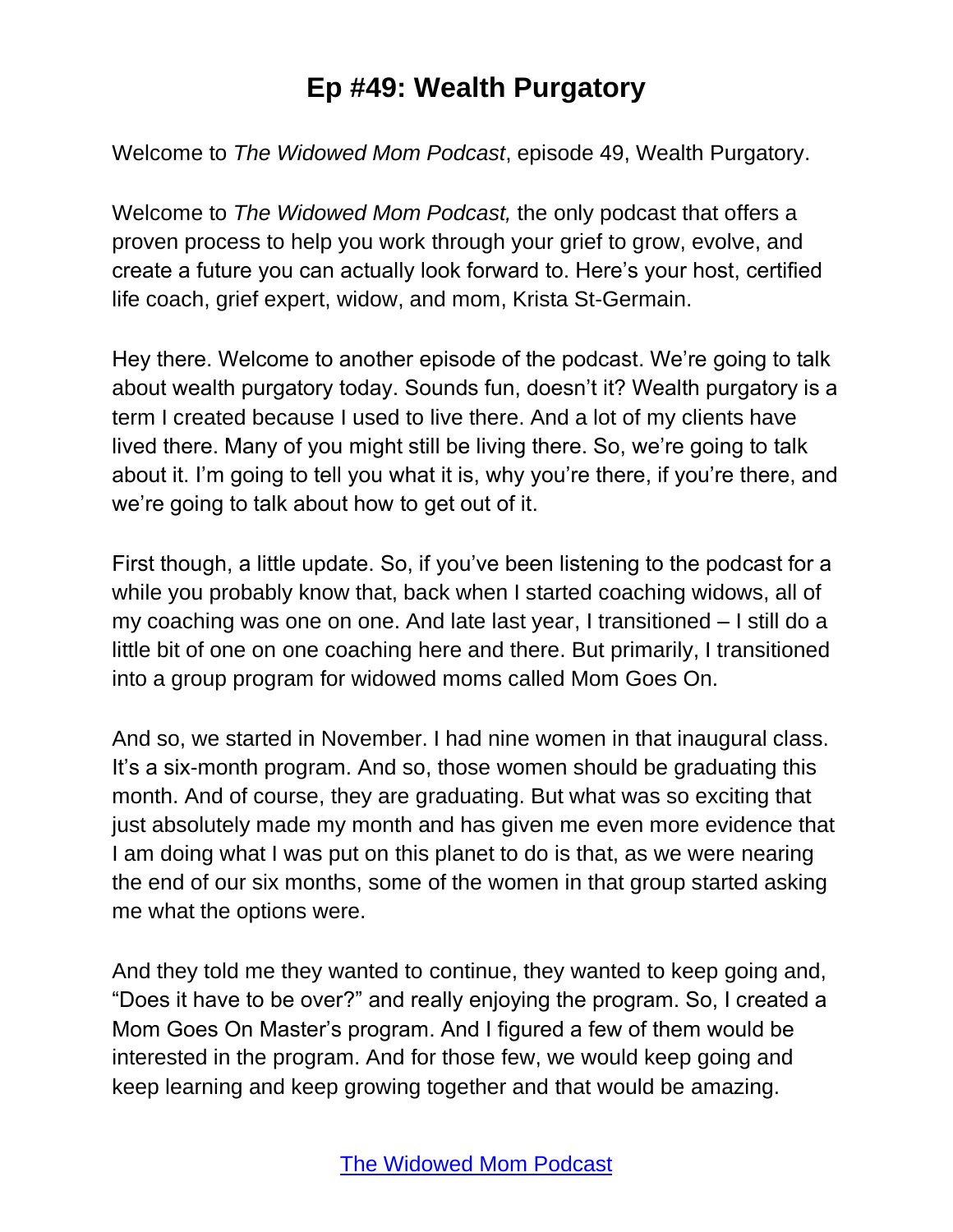Welcome to *The Widowed Mom Podcast*, episode 49, Wealth Purgatory.

Welcome to *The Widowed Mom Podcast,* the only podcast that offers a proven process to help you work through your grief to grow, evolve, and create a future you can actually look forward to. Here's your host, certified life coach, grief expert, widow, and mom, Krista St-Germain.

Hey there. Welcome to another episode of the podcast. We're going to talk about wealth purgatory today. Sounds fun, doesn't it? Wealth purgatory is a term I created because I used to live there. And a lot of my clients have lived there. Many of you might still be living there. So, we're going to talk about it. I'm going to tell you what it is, why you're there, if you're there, and we're going to talk about how to get out of it.

First though, a little update. So, if you've been listening to the podcast for a while you probably know that, back when I started coaching widows, all of my coaching was one on one. And late last year, I transitioned – I still do a little bit of one on one coaching here and there. But primarily, I transitioned into a group program for widowed moms called Mom Goes On.

And so, we started in November. I had nine women in that inaugural class. It's a six-month program. And so, those women should be graduating this month. And of course, they are graduating. But what was so exciting that just absolutely made my month and has given me even more evidence that I am doing what I was put on this planet to do is that, as we were nearing the end of our six months, some of the women in that group started asking me what the options were.

And they told me they wanted to continue, they wanted to keep going and, "Does it have to be over?" and really enjoying the program. So, I created a Mom Goes On Master's program. And I figured a few of them would be interested in the program. And for those few, we would keep going and keep learning and keep growing together and that would be amazing.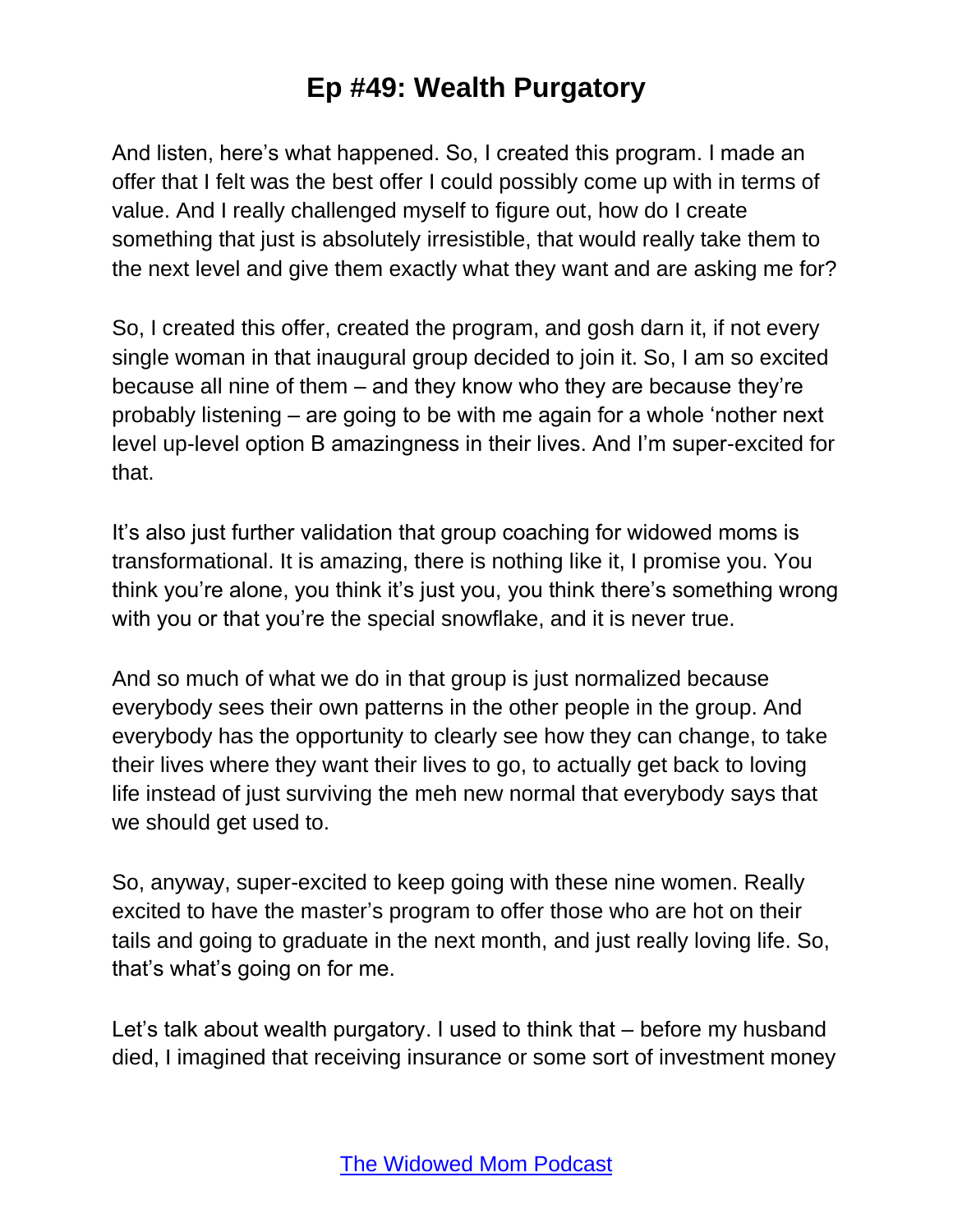And listen, here's what happened. So, I created this program. I made an offer that I felt was the best offer I could possibly come up with in terms of value. And I really challenged myself to figure out, how do I create something that just is absolutely irresistible, that would really take them to the next level and give them exactly what they want and are asking me for?

So, I created this offer, created the program, and gosh darn it, if not every single woman in that inaugural group decided to join it. So, I am so excited because all nine of them – and they know who they are because they're probably listening – are going to be with me again for a whole 'nother next level up-level option B amazingness in their lives. And I'm super-excited for that.

It's also just further validation that group coaching for widowed moms is transformational. It is amazing, there is nothing like it, I promise you. You think you're alone, you think it's just you, you think there's something wrong with you or that you're the special snowflake, and it is never true.

And so much of what we do in that group is just normalized because everybody sees their own patterns in the other people in the group. And everybody has the opportunity to clearly see how they can change, to take their lives where they want their lives to go, to actually get back to loving life instead of just surviving the meh new normal that everybody says that we should get used to.

So, anyway, super-excited to keep going with these nine women. Really excited to have the master's program to offer those who are hot on their tails and going to graduate in the next month, and just really loving life. So, that's what's going on for me.

Let's talk about wealth purgatory. I used to think that – before my husband died, I imagined that receiving insurance or some sort of investment money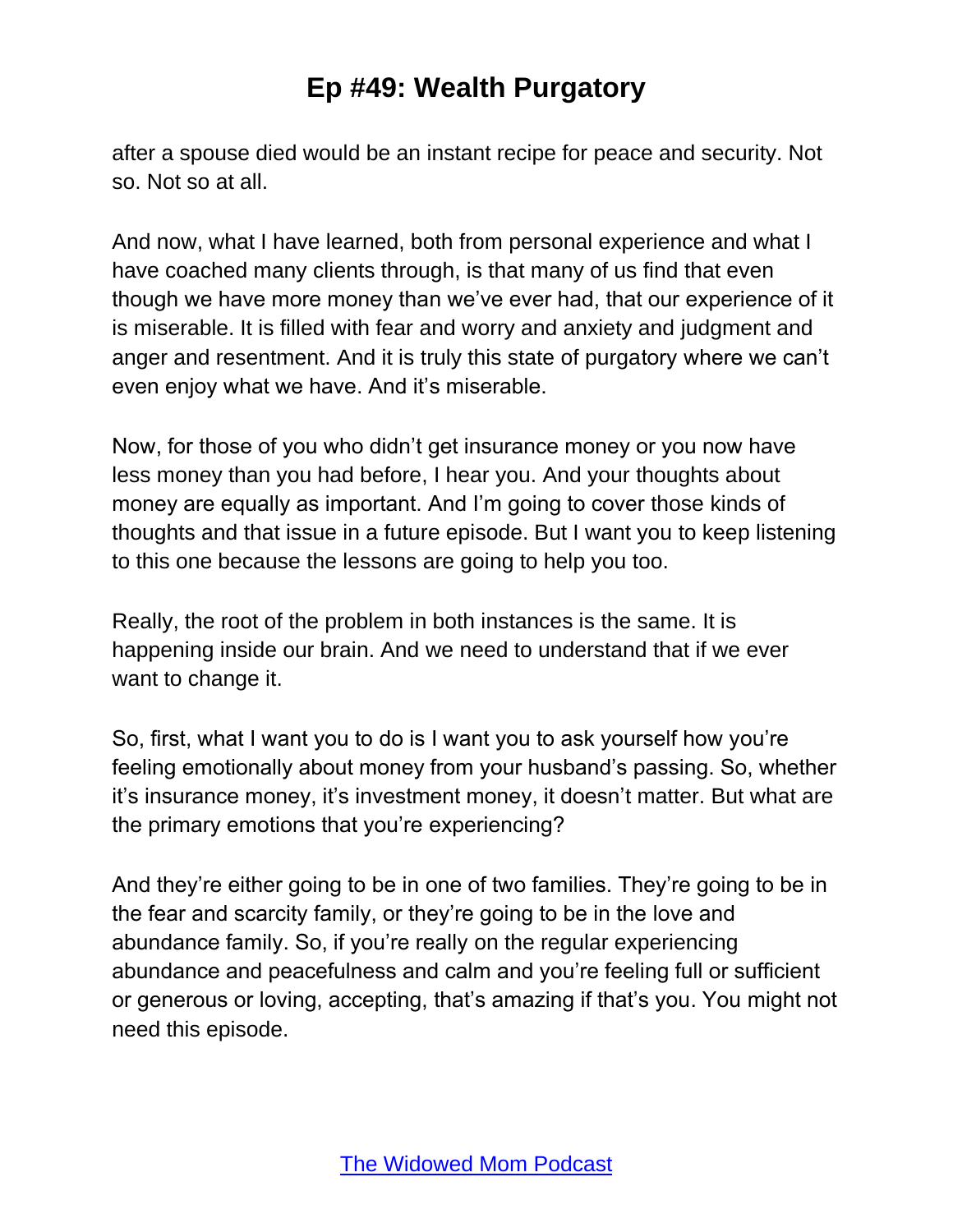after a spouse died would be an instant recipe for peace and security. Not so. Not so at all.

And now, what I have learned, both from personal experience and what I have coached many clients through, is that many of us find that even though we have more money than we've ever had, that our experience of it is miserable. It is filled with fear and worry and anxiety and judgment and anger and resentment. And it is truly this state of purgatory where we can't even enjoy what we have. And it's miserable.

Now, for those of you who didn't get insurance money or you now have less money than you had before, I hear you. And your thoughts about money are equally as important. And I'm going to cover those kinds of thoughts and that issue in a future episode. But I want you to keep listening to this one because the lessons are going to help you too.

Really, the root of the problem in both instances is the same. It is happening inside our brain. And we need to understand that if we ever want to change it.

So, first, what I want you to do is I want you to ask yourself how you're feeling emotionally about money from your husband's passing. So, whether it's insurance money, it's investment money, it doesn't matter. But what are the primary emotions that you're experiencing?

And they're either going to be in one of two families. They're going to be in the fear and scarcity family, or they're going to be in the love and abundance family. So, if you're really on the regular experiencing abundance and peacefulness and calm and you're feeling full or sufficient or generous or loving, accepting, that's amazing if that's you. You might not need this episode.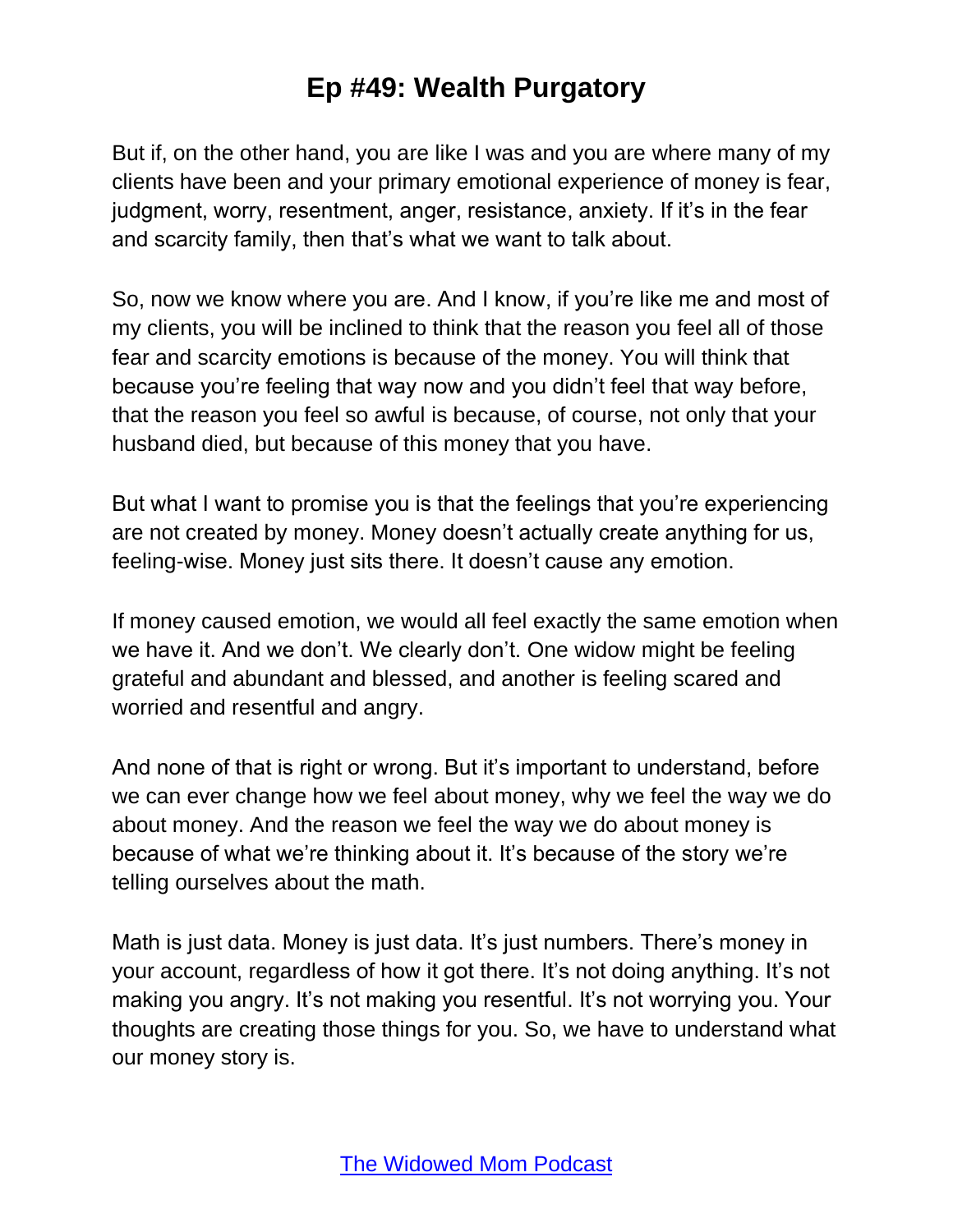But if, on the other hand, you are like I was and you are where many of my clients have been and your primary emotional experience of money is fear, judgment, worry, resentment, anger, resistance, anxiety. If it's in the fear and scarcity family, then that's what we want to talk about.

So, now we know where you are. And I know, if you're like me and most of my clients, you will be inclined to think that the reason you feel all of those fear and scarcity emotions is because of the money. You will think that because you're feeling that way now and you didn't feel that way before, that the reason you feel so awful is because, of course, not only that your husband died, but because of this money that you have.

But what I want to promise you is that the feelings that you're experiencing are not created by money. Money doesn't actually create anything for us, feeling-wise. Money just sits there. It doesn't cause any emotion.

If money caused emotion, we would all feel exactly the same emotion when we have it. And we don't. We clearly don't. One widow might be feeling grateful and abundant and blessed, and another is feeling scared and worried and resentful and angry.

And none of that is right or wrong. But it's important to understand, before we can ever change how we feel about money, why we feel the way we do about money. And the reason we feel the way we do about money is because of what we're thinking about it. It's because of the story we're telling ourselves about the math.

Math is just data. Money is just data. It's just numbers. There's money in your account, regardless of how it got there. It's not doing anything. It's not making you angry. It's not making you resentful. It's not worrying you. Your thoughts are creating those things for you. So, we have to understand what our money story is.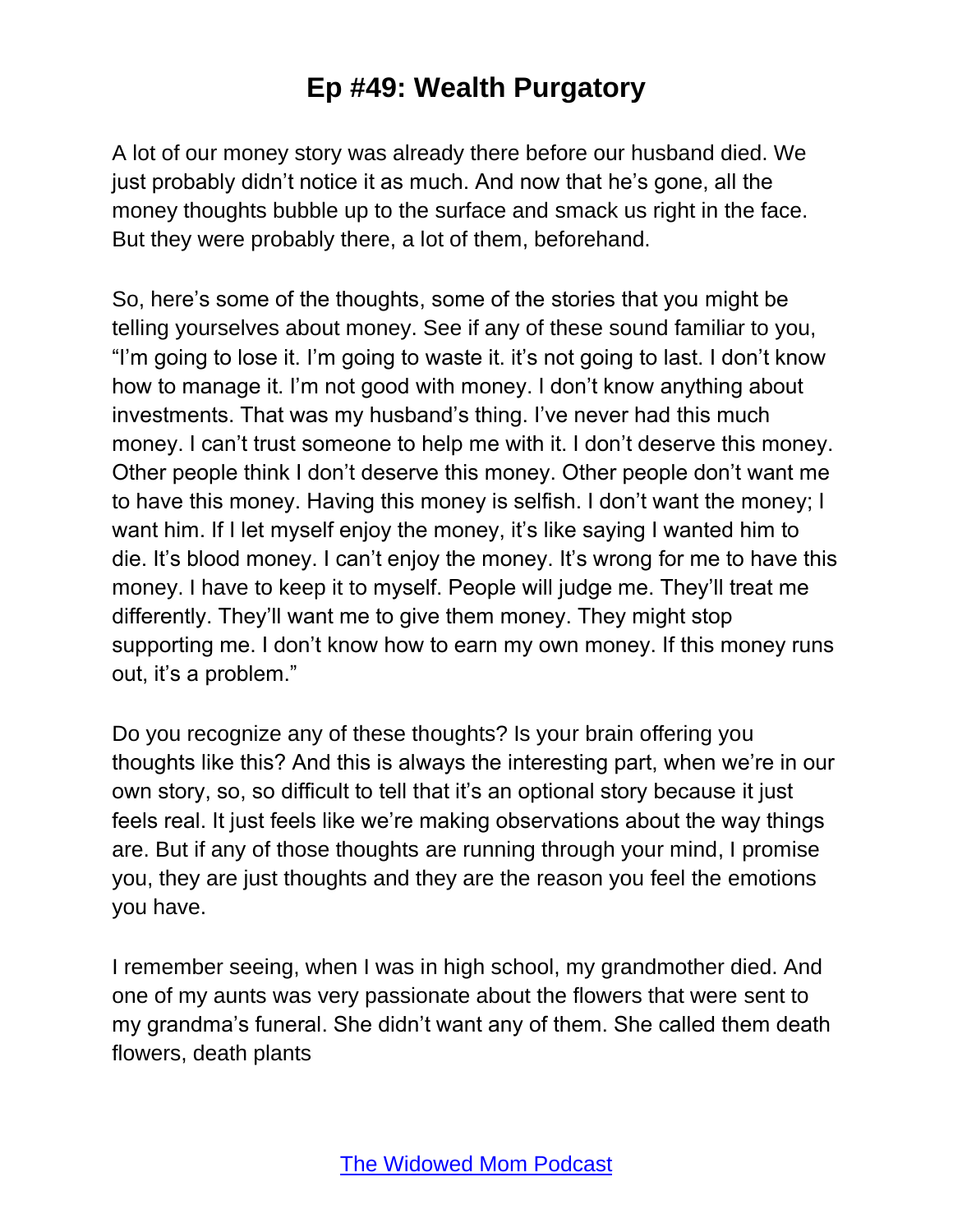A lot of our money story was already there before our husband died. We just probably didn't notice it as much. And now that he's gone, all the money thoughts bubble up to the surface and smack us right in the face. But they were probably there, a lot of them, beforehand.

So, here's some of the thoughts, some of the stories that you might be telling yourselves about money. See if any of these sound familiar to you, "I'm going to lose it. I'm going to waste it. it's not going to last. I don't know how to manage it. I'm not good with money. I don't know anything about investments. That was my husband's thing. I've never had this much money. I can't trust someone to help me with it. I don't deserve this money. Other people think I don't deserve this money. Other people don't want me to have this money. Having this money is selfish. I don't want the money; I want him. If I let myself enjoy the money, it's like saying I wanted him to die. It's blood money. I can't enjoy the money. It's wrong for me to have this money. I have to keep it to myself. People will judge me. They'll treat me differently. They'll want me to give them money. They might stop supporting me. I don't know how to earn my own money. If this money runs out, it's a problem."

Do you recognize any of these thoughts? Is your brain offering you thoughts like this? And this is always the interesting part, when we're in our own story, so, so difficult to tell that it's an optional story because it just feels real. It just feels like we're making observations about the way things are. But if any of those thoughts are running through your mind, I promise you, they are just thoughts and they are the reason you feel the emotions you have.

I remember seeing, when I was in high school, my grandmother died. And one of my aunts was very passionate about the flowers that were sent to my grandma's funeral. She didn't want any of them. She called them death flowers, death plants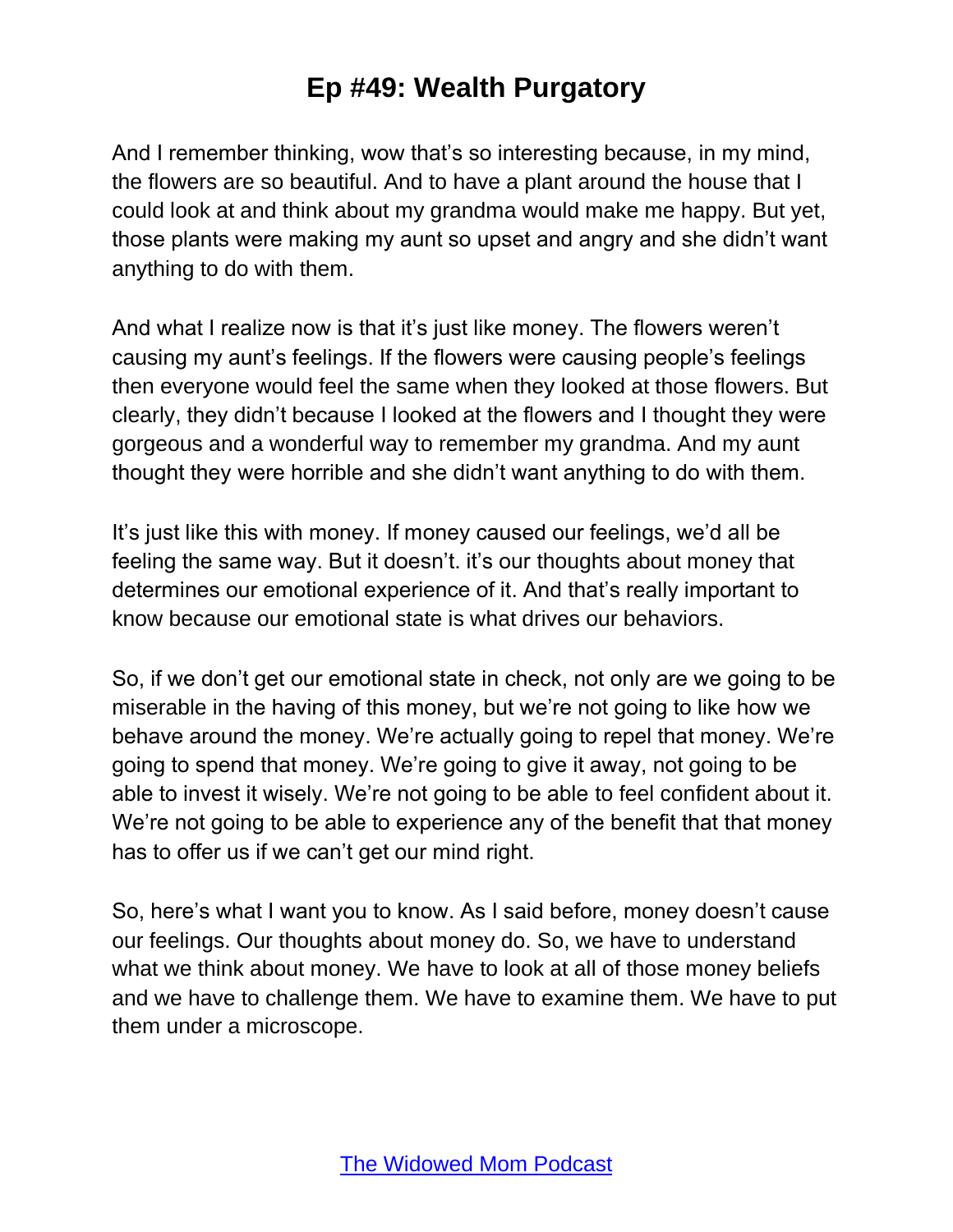And I remember thinking, wow that's so interesting because, in my mind, the flowers are so beautiful. And to have a plant around the house that I could look at and think about my grandma would make me happy. But yet, those plants were making my aunt so upset and angry and she didn't want anything to do with them.

And what I realize now is that it's just like money. The flowers weren't causing my aunt's feelings. If the flowers were causing people's feelings then everyone would feel the same when they looked at those flowers. But clearly, they didn't because I looked at the flowers and I thought they were gorgeous and a wonderful way to remember my grandma. And my aunt thought they were horrible and she didn't want anything to do with them.

It's just like this with money. If money caused our feelings, we'd all be feeling the same way. But it doesn't. it's our thoughts about money that determines our emotional experience of it. And that's really important to know because our emotional state is what drives our behaviors.

So, if we don't get our emotional state in check, not only are we going to be miserable in the having of this money, but we're not going to like how we behave around the money. We're actually going to repel that money. We're going to spend that money. We're going to give it away, not going to be able to invest it wisely. We're not going to be able to feel confident about it. We're not going to be able to experience any of the benefit that that money has to offer us if we can't get our mind right.

So, here's what I want you to know. As I said before, money doesn't cause our feelings. Our thoughts about money do. So, we have to understand what we think about money. We have to look at all of those money beliefs and we have to challenge them. We have to examine them. We have to put them under a microscope.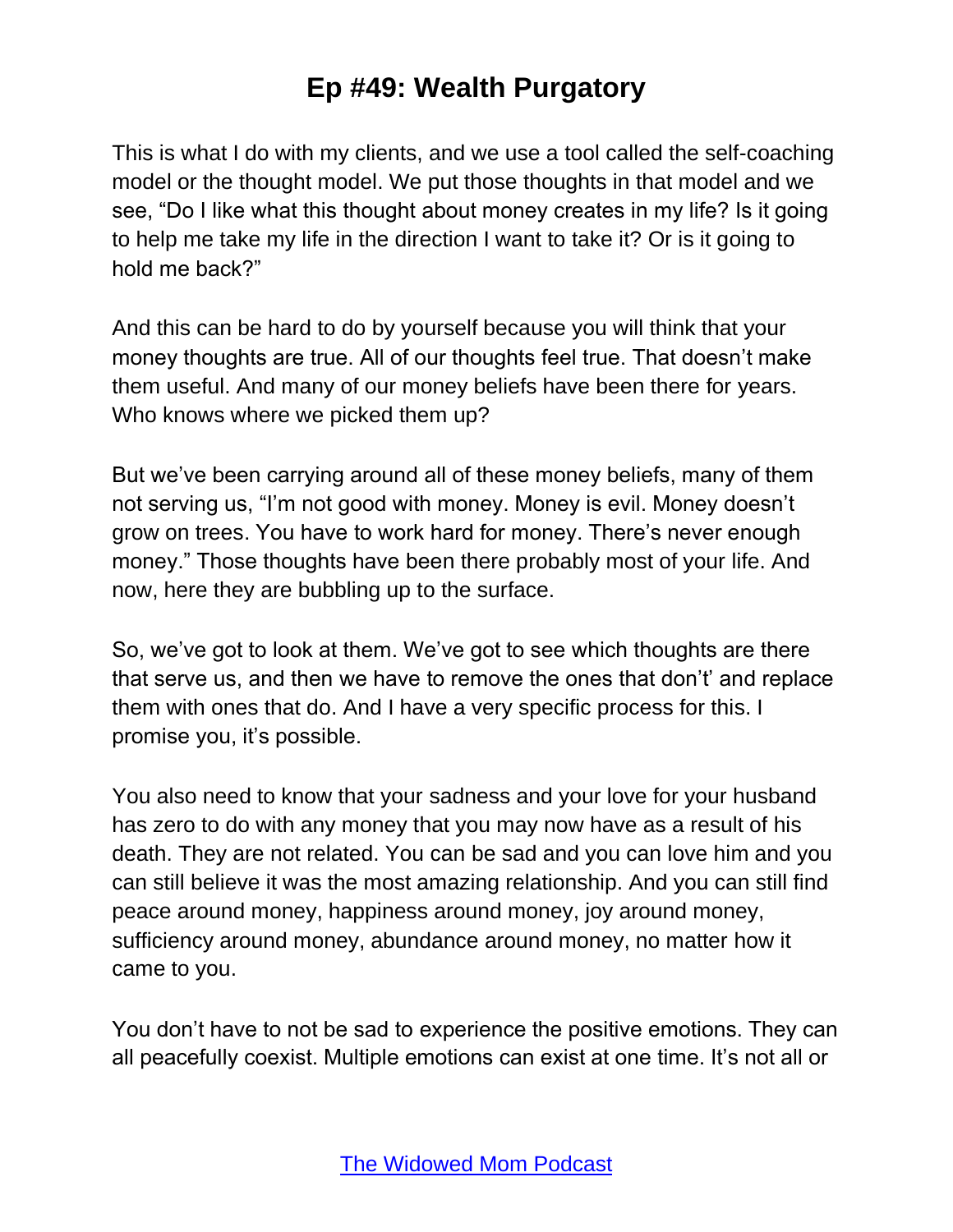This is what I do with my clients, and we use a tool called the self-coaching model or the thought model. We put those thoughts in that model and we see, "Do I like what this thought about money creates in my life? Is it going to help me take my life in the direction I want to take it? Or is it going to hold me back?"

And this can be hard to do by yourself because you will think that your money thoughts are true. All of our thoughts feel true. That doesn't make them useful. And many of our money beliefs have been there for years. Who knows where we picked them up?

But we've been carrying around all of these money beliefs, many of them not serving us, "I'm not good with money. Money is evil. Money doesn't grow on trees. You have to work hard for money. There's never enough money." Those thoughts have been there probably most of your life. And now, here they are bubbling up to the surface.

So, we've got to look at them. We've got to see which thoughts are there that serve us, and then we have to remove the ones that don't' and replace them with ones that do. And I have a very specific process for this. I promise you, it's possible.

You also need to know that your sadness and your love for your husband has zero to do with any money that you may now have as a result of his death. They are not related. You can be sad and you can love him and you can still believe it was the most amazing relationship. And you can still find peace around money, happiness around money, joy around money, sufficiency around money, abundance around money, no matter how it came to you.

You don't have to not be sad to experience the positive emotions. They can all peacefully coexist. Multiple emotions can exist at one time. It's not all or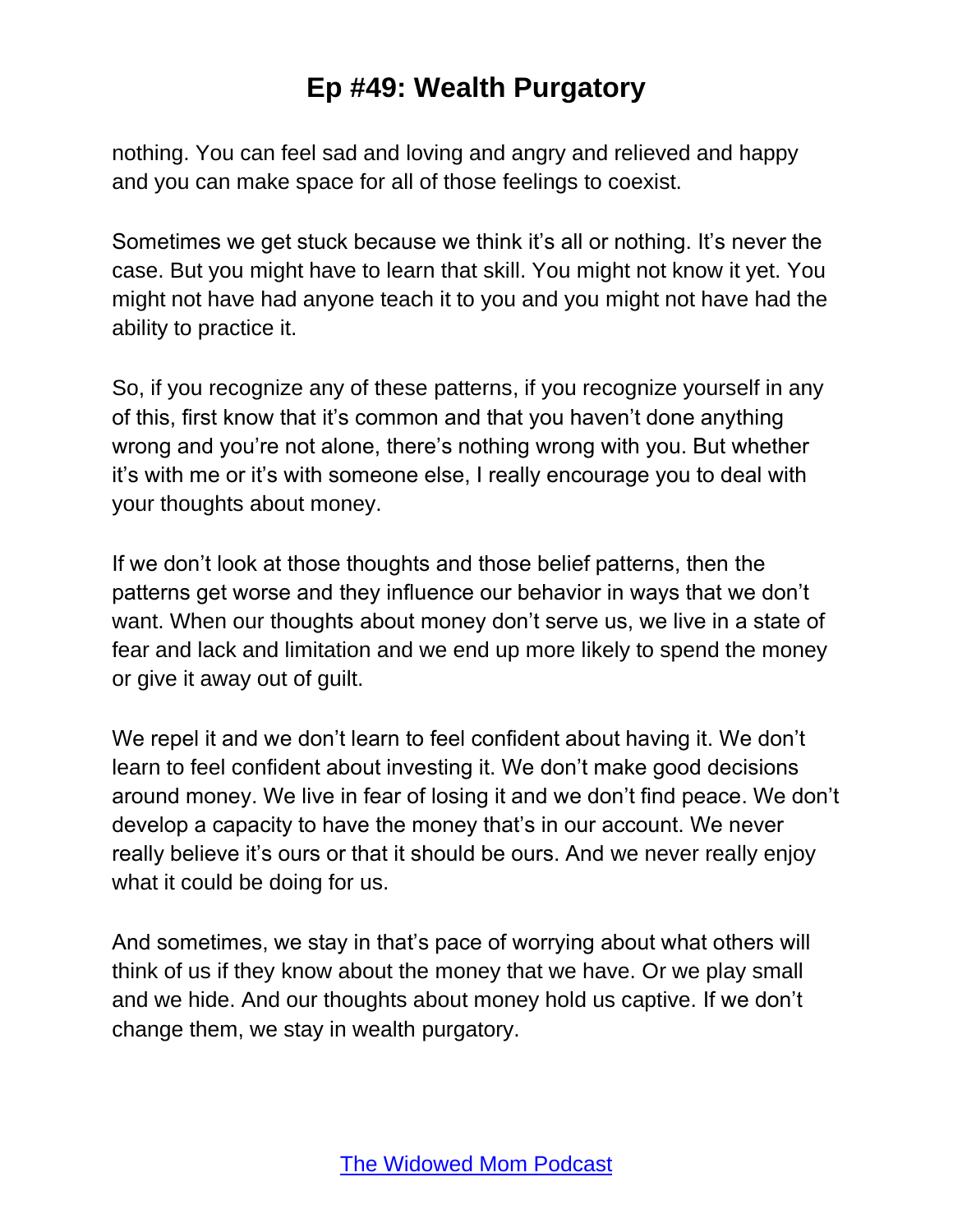nothing. You can feel sad and loving and angry and relieved and happy and you can make space for all of those feelings to coexist.

Sometimes we get stuck because we think it's all or nothing. It's never the case. But you might have to learn that skill. You might not know it yet. You might not have had anyone teach it to you and you might not have had the ability to practice it.

So, if you recognize any of these patterns, if you recognize yourself in any of this, first know that it's common and that you haven't done anything wrong and you're not alone, there's nothing wrong with you. But whether it's with me or it's with someone else, I really encourage you to deal with your thoughts about money.

If we don't look at those thoughts and those belief patterns, then the patterns get worse and they influence our behavior in ways that we don't want. When our thoughts about money don't serve us, we live in a state of fear and lack and limitation and we end up more likely to spend the money or give it away out of guilt.

We repel it and we don't learn to feel confident about having it. We don't learn to feel confident about investing it. We don't make good decisions around money. We live in fear of losing it and we don't find peace. We don't develop a capacity to have the money that's in our account. We never really believe it's ours or that it should be ours. And we never really enjoy what it could be doing for us.

And sometimes, we stay in that's pace of worrying about what others will think of us if they know about the money that we have. Or we play small and we hide. And our thoughts about money hold us captive. If we don't change them, we stay in wealth purgatory.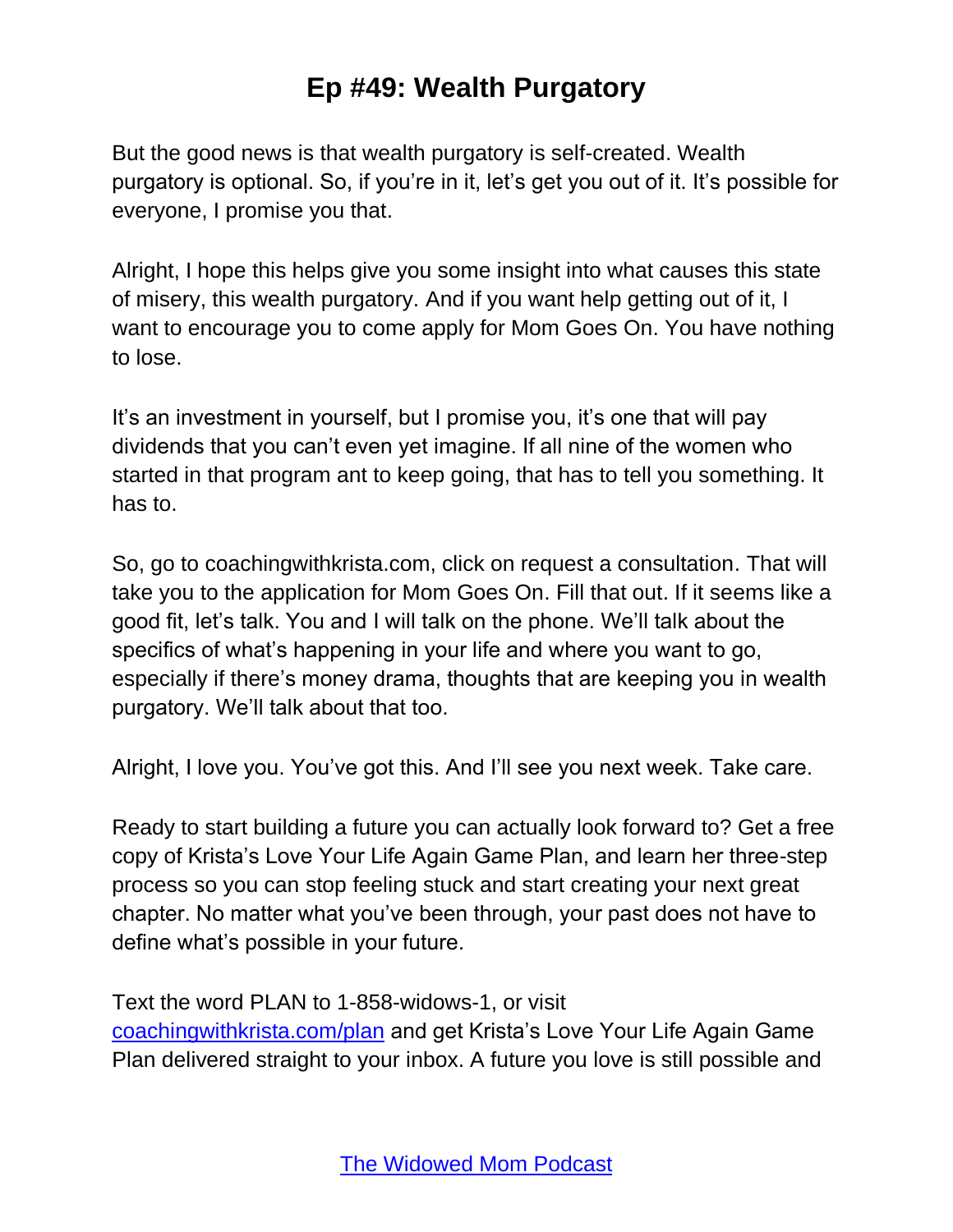But the good news is that wealth purgatory is self-created. Wealth purgatory is optional. So, if you're in it, let's get you out of it. It's possible for everyone, I promise you that.

Alright, I hope this helps give you some insight into what causes this state of misery, this wealth purgatory. And if you want help getting out of it, I want to encourage you to come apply for Mom Goes On. You have nothing to lose.

It's an investment in yourself, but I promise you, it's one that will pay dividends that you can't even yet imagine. If all nine of the women who started in that program ant to keep going, that has to tell you something. It has to.

So, go to coachingwithkrista.com, click on request a consultation. That will take you to the application for Mom Goes On. Fill that out. If it seems like a good fit, let's talk. You and I will talk on the phone. We'll talk about the specifics of what's happening in your life and where you want to go, especially if there's money drama, thoughts that are keeping you in wealth purgatory. We'll talk about that too.

Alright, I love you. You've got this. And I'll see you next week. Take care.

Ready to start building a future you can actually look forward to? Get a free copy of Krista's Love Your Life Again Game Plan, and learn her three-step process so you can stop feeling stuck and start creating your next great chapter. No matter what you've been through, your past does not have to define what's possible in your future.

Text the word PLAN to 1-858-widows-1, or visit [coachingwithkrista.com/plan](http://www.coachingwithkrista.com/plan) and get Krista's Love Your Life Again Game Plan delivered straight to your inbox. A future you love is still possible and